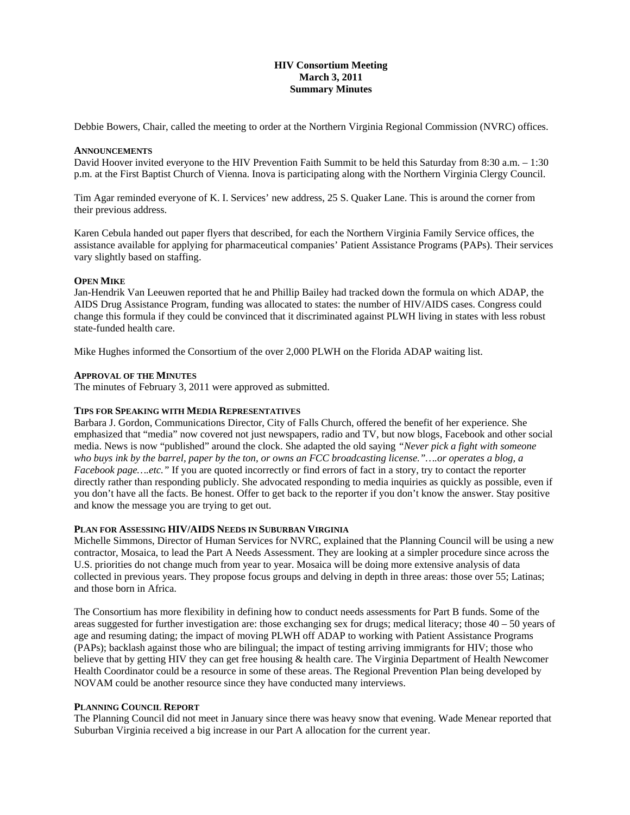# **HIV Consortium Meeting March 3, 2011 Summary Minutes**

Debbie Bowers, Chair, called the meeting to order at the Northern Virginia Regional Commission (NVRC) offices.

### **ANNOUNCEMENTS**

David Hoover invited everyone to the HIV Prevention Faith Summit to be held this Saturday from 8:30 a.m. – 1:30 p.m. at the First Baptist Church of Vienna. Inova is participating along with the Northern Virginia Clergy Council.

Tim Agar reminded everyone of K. I. Services' new address, 25 S. Quaker Lane. This is around the corner from their previous address.

Karen Cebula handed out paper flyers that described, for each the Northern Virginia Family Service offices, the assistance available for applying for pharmaceutical companies' Patient Assistance Programs (PAPs). Their services vary slightly based on staffing.

### **OPEN MIKE**

Jan-Hendrik Van Leeuwen reported that he and Phillip Bailey had tracked down the formula on which ADAP, the AIDS Drug Assistance Program, funding was allocated to states: the number of HIV/AIDS cases. Congress could change this formula if they could be convinced that it discriminated against PLWH living in states with less robust state-funded health care.

Mike Hughes informed the Consortium of the over 2,000 PLWH on the Florida ADAP waiting list.

### **APPROVAL OF THE MINUTES**

The minutes of February 3, 2011 were approved as submitted.

## **TIPS FOR SPEAKING WITH MEDIA REPRESENTATIVES**

Barbara J. Gordon, Communications Director, City of Falls Church, offered the benefit of her experience. She emphasized that "media" now covered not just newspapers, radio and TV, but now blogs, Facebook and other social media. News is now "published" around the clock. She adapted the old saying *"Never pick a fight with someone who buys ink by the barrel, paper by the ton, or owns an FCC broadcasting license."….or operates a blog, a Facebook page….etc.*" If you are quoted incorrectly or find errors of fact in a story, try to contact the reporter directly rather than responding publicly. She advocated responding to media inquiries as quickly as possible, even if you don't have all the facts. Be honest. Offer to get back to the reporter if you don't know the answer. Stay positive and know the message you are trying to get out.

# **PLAN FOR ASSESSING HIV/AIDS NEEDS IN SUBURBAN VIRGINIA**

Michelle Simmons, Director of Human Services for NVRC, explained that the Planning Council will be using a new contractor, Mosaica, to lead the Part A Needs Assessment. They are looking at a simpler procedure since across the U.S. priorities do not change much from year to year. Mosaica will be doing more extensive analysis of data collected in previous years. They propose focus groups and delving in depth in three areas: those over 55; Latinas; and those born in Africa.

The Consortium has more flexibility in defining how to conduct needs assessments for Part B funds. Some of the areas suggested for further investigation are: those exchanging sex for drugs; medical literacy; those 40 – 50 years of age and resuming dating; the impact of moving PLWH off ADAP to working with Patient Assistance Programs (PAPs); backlash against those who are bilingual; the impact of testing arriving immigrants for HIV; those who believe that by getting HIV they can get free housing & health care. The Virginia Department of Health Newcomer Health Coordinator could be a resource in some of these areas. The Regional Prevention Plan being developed by NOVAM could be another resource since they have conducted many interviews.

#### **PLANNING COUNCIL REPORT**

The Planning Council did not meet in January since there was heavy snow that evening. Wade Menear reported that Suburban Virginia received a big increase in our Part A allocation for the current year.